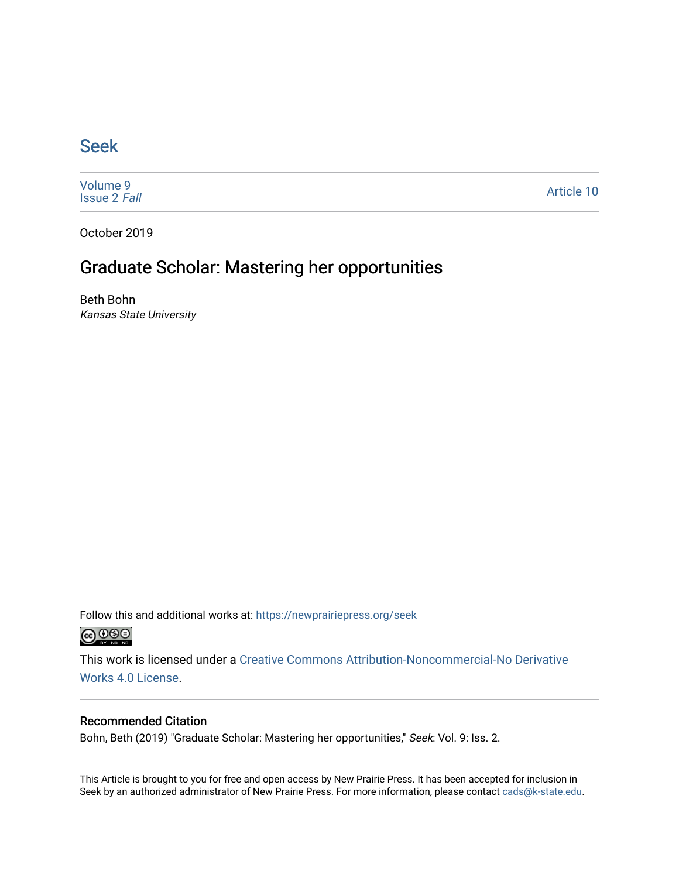### [Seek](https://newprairiepress.org/seek)

[Volume 9](https://newprairiepress.org/seek/vol9) [Issue 2](https://newprairiepress.org/seek/vol9/iss2) Fall

[Article 10](https://newprairiepress.org/seek/vol9/iss2/10) 

October 2019

## Graduate Scholar: Mastering her opportunities

Beth Bohn Kansas State University

Follow this and additional works at: [https://newprairiepress.org/seek](https://newprairiepress.org/seek?utm_source=newprairiepress.org%2Fseek%2Fvol9%2Fiss2%2F10&utm_medium=PDF&utm_campaign=PDFCoverPages)



This work is licensed under a [Creative Commons Attribution-Noncommercial-No Derivative](https://creativecommons.org/licenses/by-nc-nd/4.0/)  [Works 4.0 License](https://creativecommons.org/licenses/by-nc-nd/4.0/).

#### Recommended Citation

Bohn, Beth (2019) "Graduate Scholar: Mastering her opportunities," Seek: Vol. 9: Iss. 2.

This Article is brought to you for free and open access by New Prairie Press. It has been accepted for inclusion in Seek by an authorized administrator of New Prairie Press. For more information, please contact [cads@k-state.edu](mailto:cads@k-state.edu).